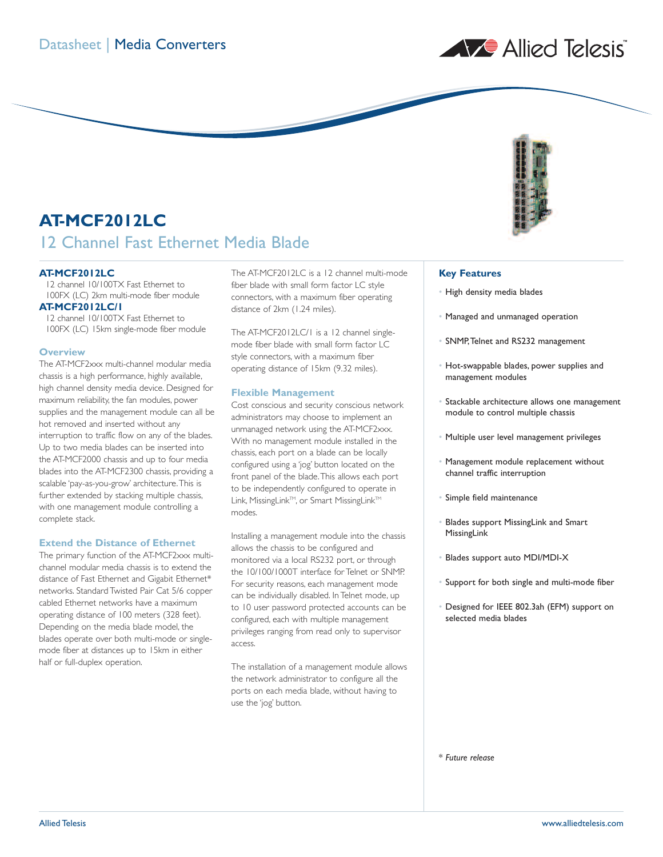

# **AT-MCF2012LC**

## 12 Channel Fast Ethernet Media Blade

## **AT-MCF2012LC**

12 channel 10/100TX Fast Ethernet to 100FX (LC) 2km multi-mode fiber module **AT-MCF2012LC/1**

12 channel 10/100TX Fast Ethernet to 100FX (LC) 15km single-mode fiber module

#### **Overview**

The AT-MCF2xxx multi-channel modular media chassis is a high performance, highly available, high channel density media device. Designed for maximum reliability, the fan modules, power supplies and the management module can all be hot removed and inserted without any interruption to traffic flow on any of the blades. Up to two media blades can be inserted into the AT-MCF2000 chassis and up to four media blades into the AT-MCF2300 chassis, providing a scalable 'pay-as-you-grow' architecture.This is further extended by stacking multiple chassis, with one management module controlling a complete stack.

#### **Extend the Distance of Ethernet**

The primary function of the AT-MCF2xxx multichannel modular media chassis is to extend the distance of Fast Ethernet and Gigabit Ethernet\* networks. Standard Twisted Pair Cat 5/6 copper cabled Ethernet networks have a maximum operating distance of 100 meters (328 feet). Depending on the media blade model, the blades operate over both multi-mode or singlemode fiber at distances up to 15km in either half or full-duplex operation.

The AT-MCF2012LC is a 12 channel multi-mode fiber blade with small form factor LC style connectors, with a maximum fiber operating distance of 2km (1.24 miles).

The AT-MCF2012LC/1 is a 12 channel singlemode fiber blade with small form factor LC style connectors, with a maximum fiber operating distance of 15km (9.32 miles).

#### **Flexible Management**

Cost conscious and security conscious network administrators may choose to implement an unmanaged network using the AT-MCF2xxx. With no management module installed in the chassis, each port on a blade can be locally configured using a 'jog' button located on the front panel of the blade.This allows each port to be independently configured to operate in Link, MissingLink™, or Smart MissingLink™ modes.

Installing a management module into the chassis allows the chassis to be configured and monitored via a local RS232 port, or through the 10/100/1000T interface for Telnet or SNMP. For security reasons, each management mode can be individually disabled. In Telnet mode, up to 10 user password protected accounts can be configured, each with multiple management privileges ranging from read only to supervisor access.

The installation of a management module allows the network administrator to configure all the ports on each media blade, without having to use the 'jog' button.



## **Key Features**

- High density media blades
- Managed and unmanaged operation
- SNMP, Telnet and RS232 management
- Hot-swappable blades, power supplies and management modules
- Stackable architecture allows one management module to control multiple chassis
- Multiple user level management privileges
- Management module replacement without channel traffic interruption
- Simple field maintenance
- Blades support MissingLink and Smart MissingLink
- Blades support auto MDI/MDI-X
- Support for both single and multi-mode fiber
- Designed for IEEE 802.3ah (EFM) support on selected media blades

\* *Future release*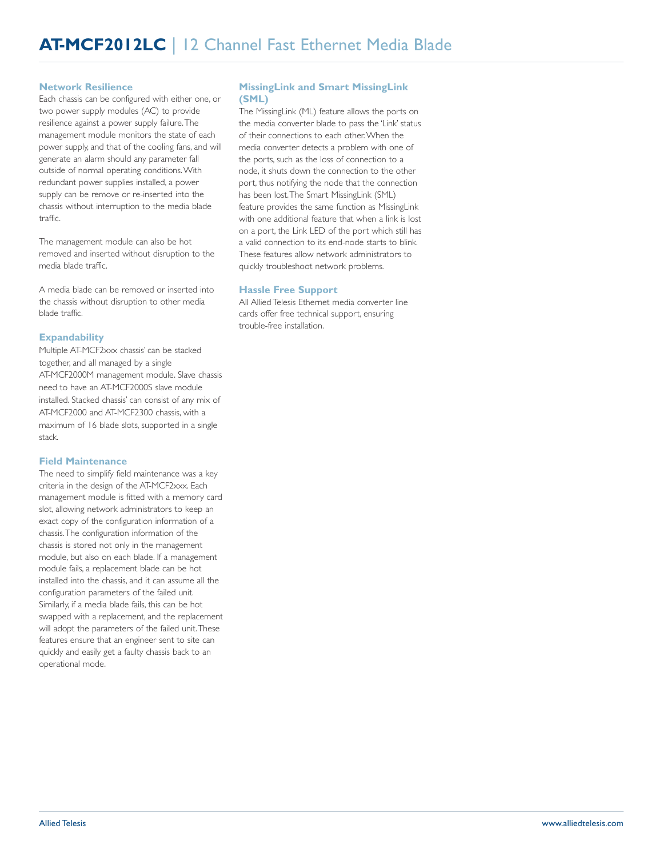## **Network Resilience**

Each chassis can be configured with either one, or two power supply modules (AC) to provide resilience against a power supply failure.The management module monitors the state of each power supply, and that of the cooling fans, and will generate an alarm should any parameter fall outside of normal operating conditions.With redundant power supplies installed, a power supply can be remove or re-inserted into the chassis without interruption to the media blade traffic.

The management module can also be hot removed and inserted without disruption to the media blade traffic.

A media blade can be removed or inserted into the chassis without disruption to other media blade traffic.

#### **Expandability**

Multiple AT-MCF2xxx chassis' can be stacked together, and all managed by a single AT-MCF2000M management module. Slave chassis need to have an AT-MCF2000S slave module installed. Stacked chassis' can consist of any mix of AT-MCF2000 and AT-MCF2300 chassis, with a maximum of 16 blade slots, supported in a single stack.

#### **Field Maintenance**

The need to simplify field maintenance was a key criteria in the design of the AT-MCF2xxx. Each management module is fitted with a memory card slot, allowing network administrators to keep an exact copy of the configuration information of a chassis.The configuration information of the chassis is stored not only in the management module, but also on each blade. If a management module fails, a replacement blade can be hot installed into the chassis, and it can assume all the configuration parameters of the failed unit. Similarly, if a media blade fails, this can be hot swapped with a replacement, and the replacement will adopt the parameters of the failed unit.These features ensure that an engineer sent to site can quickly and easily get a faulty chassis back to an operational mode.

## **MissingLink and Smart MissingLink (SML)**

The MissingLink (ML) feature allows the ports on the media converter blade to pass the 'Link' status of their connections to each other.When the media converter detects a problem with one of the ports, such as the loss of connection to a node, it shuts down the connection to the other port, thus notifying the node that the connection has been lost.The Smart MissingLink (SML) feature provides the same function as MissingLink with one additional feature that when a link is lost on a port, the Link LED of the port which still has a valid connection to its end-node starts to blink. These features allow network administrators to quickly troubleshoot network problems.

#### **Hassle Free Support**

All Allied Telesis Ethernet media converter line cards offer free technical support, ensuring trouble-free installation.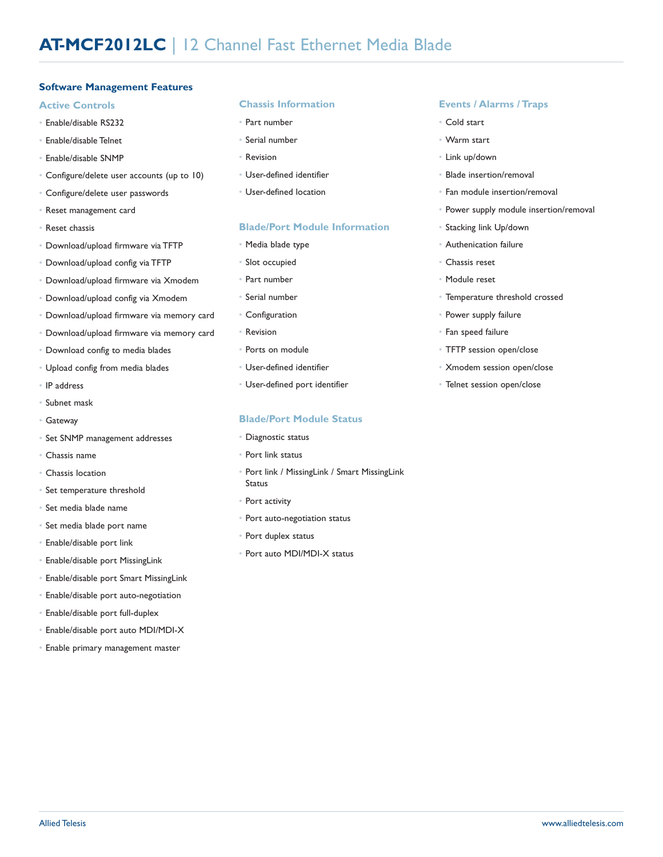## **Software Management Features**

#### **Active Controls**

- Enable/disable RS232
- Enable/disable Telnet
- Enable/disable SNMP
- Configure/delete user accounts (up to 10)
- Configure/delete user passwords
- Reset management card
- Reset chassis
- Download/upload firmware via TFTP
- Download/upload config via TFTP
- Download/upload firmware via Xmodem
- Download/upload config via Xmodem
- Download/upload firmware via memory card
- Download/upload firmware via memory card
- Download config to media blades
- Upload config from media blades
- IP address
- Subnet mask
- Gateway
- Set SNMP management addresses
- Chassis name
- Chassis location
- Set temperature threshold
- Set media blade name
- Set media blade port name
- Enable/disable port link
- Enable/disable port MissingLink
- Enable/disable port Smart MissingLink
- Enable/disable port auto-negotiation
- Enable/disable port full-duplex
- Enable/disable port auto MDI/MDI-X
- Enable primary management master

## **Chassis Information**

- Part number
- Serial number
- Revision
- User-defined identifier
- User-defined location

## **Blade/Port Module Information**

- Media blade type
- Slot occupied
- Part number
- Serial number
- Configuration
- Revision
- Ports on module
- User-defined identifier
- User-defined port identifier

## **Blade/Port Module Status**

- Diagnostic status
- Port link status
- Port link / MissingLink / Smart MissingLink Status
- Port activity
- Port auto-negotiation status
- Port duplex status
- Port auto MDI/MDI-X status

## **Events / Alarms / Traps**

- Cold start
- Warm start
- Link up/down
- Blade insertion/removal
- Fan module insertion/removal
- Power supply module insertion/removal
- Stacking link Up/down
- Authenication failure
- Chassis reset
- Module reset
- Temperature threshold crossed
- Power supply failure
- Fan speed failure
- TFTP session open/close
- Xmodem session open/close
- Telnet session open/close